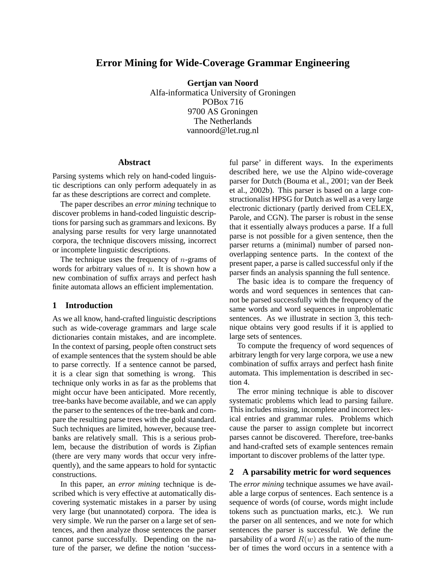# **Error Mining for Wide-Coverage Grammar Engineering**

**Gertjan van Noord**

Alfa-informatica University of Groningen POBox 716 9700 AS Groningen The Netherlands vannoord@let.rug.nl

### **Abstract**

Parsing systems which rely on hand-coded linguistic descriptions can only perform adequately in as far as these descriptions are correct and complete.

The paper describes an *error mining* technique to discover problems in hand-coded linguistic descriptions for parsing such as grammars and lexicons. By analysing parse results for very large unannotated corpora, the technique discovers missing, incorrect or incomplete linguistic descriptions.

The technique uses the frequency of  $n$ -grams of words for arbitrary values of  $n$ . It is shown how a new combination of suffix arrays and perfect hash finite automata allows an efficient implementation.

#### **1 Introduction**

As we all know, hand-crafted linguistic descriptions such as wide-coverage grammars and large scale dictionaries contain mistakes, and are incomplete. In the context of parsing, people often construct sets of example sentences that the system should be able to parse correctly. If a sentence cannot be parsed, it is a clear sign that something is wrong. This technique only works in as far as the problems that might occur have been anticipated. More recently, tree-banks have become available, and we can apply the parser to the sentences of the tree-bank and compare the resulting parse trees with the gold standard. Such techniques are limited, however, because treebanks are relatively small. This is a serious problem, because the distribution of words is Zipfian (there are very many words that occur very infrequently), and the same appears to hold for syntactic constructions.

In this paper, an *error mining* technique is described which is very effective at automatically discovering systematic mistakes in a parser by using very large (but unannotated) corpora. The idea is very simple. We run the parser on a large set of sentences, and then analyze those sentences the parser cannot parse successfully. Depending on the nature of the parser, we define the notion 'successful parse' in different ways. In the experiments described here, we use the Alpino wide-coverage parser for Dutch (Bouma et al., 2001; van der Beek et al., 2002b). This parser is based on a large constructionalist HPSG for Dutch as well as a very large electronic dictionary (partly derived from CELEX, Parole, and CGN). The parser is robust in the sense that it essentially always produces a parse. If a full parse is not possible for a given sentence, then the parser returns a (minimal) number of parsed nonoverlapping sentence parts. In the context of the present paper, a parse is called successful only if the parser finds an analysis spanning the full sentence.

The basic idea is to compare the frequency of words and word sequences in sentences that cannot be parsed successfully with the frequency of the same words and word sequences in unproblematic sentences. As we illustrate in section 3, this technique obtains very good results if it is applied to large sets of sentences.

To compute the frequency of word sequences of arbitrary length for very large corpora, we use a new combination of suffix arrays and perfect hash finite automata. This implementation is described in section 4.

The error mining technique is able to discover systematic problems which lead to parsing failure. This includes missing, incomplete and incorrect lexical entries and grammar rules. Problems which cause the parser to assign complete but incorrect parses cannot be discovered. Therefore, tree-banks and hand-crafted sets of example sentences remain important to discover problems of the latter type.

### **2 A parsability metric for word sequences**

The *error mining* technique assumes we have available a large corpus of sentences. Each sentence is a sequence of words (of course, words might include tokens such as punctuation marks, etc.). We run the parser on all sentences, and we note for which sentences the parser is successful. We define the parsability of a word  $R(w)$  as the ratio of the number of times the word occurs in a sentence with a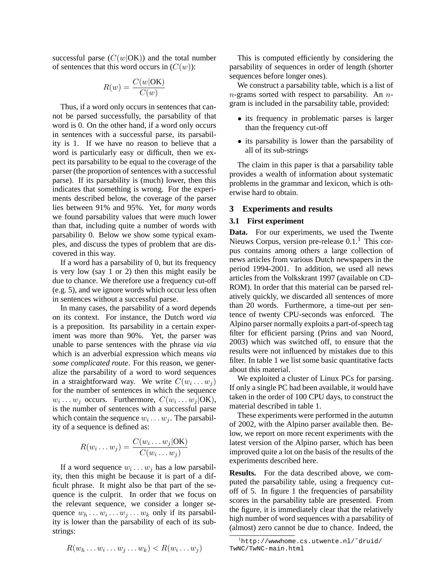successful parse  $(C(w|OK))$  and the total number of sentences that this word occurs in  $(C(w))$ :

$$
R(w) = \frac{C(w | OK)}{C(w)}
$$

Thus, if a word only occurs in sentences that cannot be parsed successfully, the parsability of that word is 0. On the other hand, if a word only occurs in sentences with a successful parse, its parsability is 1. If we have no reason to believe that a word is particularly easy or difficult, then we expect its parsability to be equal to the coverage of the parser (the proportion of sentences with a successful parse). If its parsability is (much) lower, then this indicates that something is wrong. For the experiments described below, the coverage of the parser lies between 91% and 95%. Yet, for *many* words we found parsability values that were much lower than that, including quite a number of words with parsability 0. Below we show some typical examples, and discuss the types of problem that are discovered in this way.

If a word has a parsability of 0, but its frequency is very low (say 1 or 2) then this might easily be due to chance. We therefore use a frequency cut-off (e.g. 5), and we ignore words which occur less often in sentences without a successful parse.

In many cases, the parsability of a word depends on its context. For instance, the Dutch word *via* is a preposition. Its parsability in a certain experiment was more than 90%. Yet, the parser was unable to parse sentences with the phrase *via via* which is an adverbial expression which means *via some complicated route*. For this reason, we generalize the parsability of a word to word sequences in a straightforward way. We write  $C(w_i \dots w_j)$ for the number of sentences in which the sequence  $w_i \dots w_j$  occurs. Furthermore,  $C(w_i \dots w_j | OK)$ , is the number of sentences with a successful parse which contain the sequence  $w_i \dots w_j$ . The parsability of a sequence is defined as:

$$
R(w_i \dots w_j) = \frac{C(w_i \dots w_j | \text{OK})}{C(w_i \dots w_j)}
$$

If a word sequence  $w_i \dots w_j$  has a low parsability, then this might be because it is part of a difficult phrase. It might also be that part of the sequence is the culprit. In order that we focus on the relevant sequence, we consider a longer sequence  $w_h \dots w_i \dots w_j \dots w_k$  only if its parsability is lower than the parsability of each of its substrings:

$$
R(w_h \dots w_i \dots w_j \dots w_k) < R(w_i \dots w_j)
$$

This is computed efficiently by considering the parsability of sequences in order of length (shorter sequences before longer ones).

We construct a parsability table, which is a list of  $n$ -grams sorted with respect to parsability. An  $n$ gram is included in the parsability table, provided:

- its frequency in problematic parses is larger than the frequency cut-off
- its parsability is lower than the parsability of all of its sub-strings

The claim in this paper is that a parsability table provides a wealth of information about systematic problems in the grammar and lexicon, which is otherwise hard to obtain.

### **3 Experiments and results**

### **3.1 First experiment**

**Data.** For our experiments, we used the Twente Nieuws Corpus, version pre-release  $0.1<sup>1</sup>$  This corpus contains among others a large collection of news articles from various Dutch newspapers in the period 1994-2001. In addition, we used all news articles from the Volkskrant 1997 (available on CD-ROM). In order that this material can be parsed relatively quickly, we discarded all sentences of more than 20 words. Furthermore, a time-out per sentence of twenty CPU-seconds was enforced. The Alpino parser normally exploits a part-of-speech tag filter for efficient parsing (Prins and van Noord, 2003) which was switched off, to ensure that the results were not influenced by mistakes due to this filter. In table 1 we list some basic quantitative facts about this material.

We exploited a cluster of Linux PCs for parsing. If only a single PC had been available, it would have taken in the order of 100 CPU days, to construct the material described in table 1.

These experiments were performed in the autumn of 2002, with the Alpino parser available then. Below, we report on more recent experiments with the latest version of the Alpino parser, which has been improved quite a lot on the basis of the results of the experiments described here.

**Results.** For the data described above, we computed the parsability table, using a frequency cutoff of 5. In figure 1 the frequencies of parsability scores in the parsability table are presented. From the figure, it is immediately clear that the relatively high number of word sequences with a parsability of (almost) zero cannot be due to chance. Indeed, the

 $1$ http://wwwhome.cs.utwente.nl/~druid/ TwNC/TwNC-main.html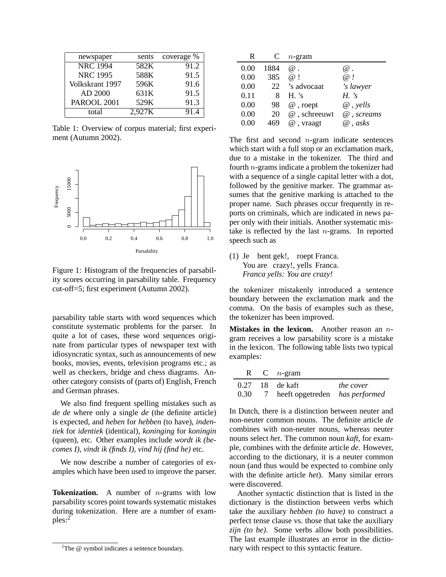| newspaper       | sents  | coverage % |
|-----------------|--------|------------|
| <b>NRC 1994</b> | 582K   | 91.2       |
| <b>NRC 1995</b> | 588K   | 91.5       |
| Volkskrant 1997 | 596K   | 91.6       |
| AD 2000         | 631K   | 91.5       |
| PAROOL 2001     | 529K   | 91.3       |
| total           | 2,927K | 91.4       |

Table 1: Overview of corpus material; first experiment (Autumn 2002).



Figure 1: Histogram of the frequencies of parsability scores occurring in parsability table. Frequency cut-off=5; first experiment (Autumn 2002).

parsability table starts with word sequences which constitute systematic problems for the parser. In quite a lot of cases, these word sequences originate from particular types of newspaper text with idiosyncratic syntax, such as announcements of new books, movies, events, television programs etc.; as well as checkers, bridge and chess diagrams. Another category consists of (parts of) English, French and German phrases.

We also find frequent spelling mistakes such as *de de* where only a single *de* (the definite article) is expected, and *heben* for *hebben* (to have), *indentiek* for *identiek* (identical), *koninging* for *koningin* (queen), etc. Other examples include *wordt ik (becomes I), vindt ik (finds I), vind hij (find he)* etc.

We now describe a number of categories of examples which have been used to improve the parser.

**Tokenization.** A number of *n*-grams with low parsability scores point towards systematic mistakes during tokenization. Here are a number of examples:<sup>2</sup>

| R    |      | $n$ -gram    |                  |
|------|------|--------------|------------------|
| 0.00 | 1884 | $\omega$     | $@$ .            |
| 0.00 | 385  | $\omega$ 1   | $\omega$ !       |
| 0.00 | 22   | 's advocaat  | 's lawyer        |
| 0.11 | 8    | $H$ 's       | $H \dot{s}$      |
| 0.00 | 98   | $@$ , roept  | $\omega$ , yells |
| 0.00 | 20   | @, schreeuwt | @, screams       |
| 0.00 | 469  | $@$ , vraagt | $\omega$ , asks  |

The first and second  $n$ -gram indicate sentences which start with a full stop or an exclamation mark, due to a mistake in the tokenizer. The third and fourth n-grams indicate a problem the tokenizer had with a sequence of a single capital letter with a dot, followed by the genitive marker. The grammar assumes that the genitive marking is attached to the proper name. Such phrases occur frequently in reports on criminals, which are indicated in news paper only with their initials. Another systematic mistake is reflected by the last  $n$ -grams. In reported speech such as

(1) Je bent gek!, roept Franca. You are crazy!, yells Franca. *Franca yells: You are crazy!*

the tokenizer mistakenly introduced a sentence boundary between the exclamation mark and the comma. On the basis of examples such as these, the tokenizer has been improved.

**Mistakes in the lexicon.** Another reason an *n*gram receives a low parsability score is a mistake in the lexicon. The following table lists two typical examples:

|  | R C $n$ -gram                                |                  |
|--|----------------------------------------------|------------------|
|  | 0.27 18 de kaft                              | <i>the cover</i> |
|  | 0.30 7 heeft opgetreden <i>has performed</i> |                  |

In Dutch, there is a distinction between neuter and non-neuter common nouns. The definite article *de* combines with non-neuter nouns, whereas neuter nouns select *het*. The common noun *kaft*, for example, combines with the definite article *de*. However, according to the dictionary, it is a neuter common noun (and thus would be expected to combine only with the definite article *het*). Many similar errors were discovered.

Another syntactic distinction that is listed in the dictionary is the distinction between verbs which take the auxiliary *hebben (to have)* to construct a perfect tense clause vs. those that take the auxiliary *zijn (to be)*. Some verbs allow both possibilities. The last example illustrates an error in the dictionary with respect to this syntactic feature.

<sup>&</sup>lt;sup>2</sup>The  $@$  symbol indicates a sentence boundary.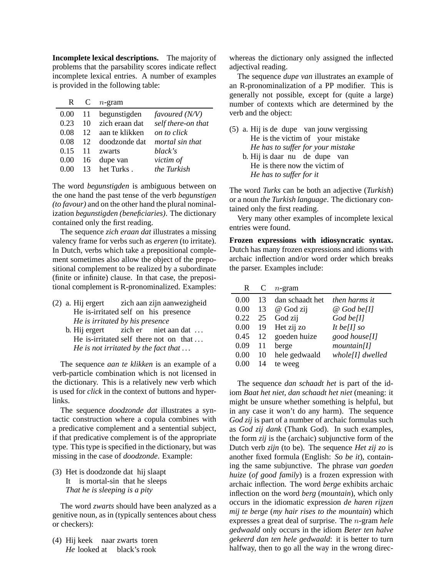**Incomplete lexical descriptions.** The majority of problems that the parsability scores indicate reflect incomplete lexical entries. A number of examples is provided in the following table:

| R      |                   | $n$ -gram      |                    |
|--------|-------------------|----------------|--------------------|
| 0.00   | 11                | begunstigden   | favoured $(N/V)$   |
| 0.23   | 10                | zich eraan dat | self there-on that |
| 0.08   | 12                | aan te klikken | on to click        |
| 0.08   | $12 \overline{)}$ | doodzonde dat  | mortal sin that    |
| 0.15   | 11                | zwarts         | black's            |
| 0.00   | 16                | dupe van       | victim of          |
| (1)(1) | 13                | het Turks.     | the Turkish        |
|        |                   |                |                    |

The word *begunstigden* is ambiguous between on the one hand the past tense of the verb *begunstigen (to favour)* and on the other hand the plural nominalization *begunstigden (beneficiaries)*. The dictionary contained only the first reading.

The sequence *zich eraan dat* illustrates a missing valency frame for verbs such as *ergeren* (to irritate). In Dutch, verbs which take a prepositional complement sometimes also allow the object of the prepositional complement to be realized by a subordinate (finite or infinite) clause. In that case, the prepositional complement is R-pronominalized. Examples:

- (2) a. Hij ergert He is-irritated self on his presence zich aan zijn aanwezigheid *He is irritated by his presence*
	- b. Hij ergert He is-irritated self there not on that ... zich er niet aan dat ... *He is not irritated by the fact that . . .*

The sequence *aan te klikken* is an example of a verb-particle combination which is not licensed in the dictionary. This is a relatively new verb which is used for *click* in the context of buttons and hyperlinks.

The sequence *doodzonde dat* illustrates a syntactic construction where a copula combines with a predicative complement and a sentential subject, if that predicative complement is of the appropriate type. This type is specified in the dictionary, but was missing in the case of *doodzonde*. Example:

(3) Het is doodzonde dat hij slaapt It is mortal-sin that he sleeps *That he is sleeping is a pity*

The word *zwarts* should have been analyzed as a genitive noun, as in (typically sentences about chess or checkers):

(4) Hij keek naar zwarts toren He looked at black's rook

whereas the dictionary only assigned the inflected adjectival reading.

The sequence *dupe van* illustrates an example of an R-pronominalization of a PP modifier. This is generally not possible, except for (quite a large) number of contexts which are determined by the verb and the object:

- (5) a. Hij is de dupe van jouw vergissing He is the victim of your mistake *He has to suffer for your mistake*
	- b. Hij is daar nu de dupe van He is there now the victim of *He has to suffer for it*

The word *Turks* can be both an adjective (*Turkish*) or a noun *the Turkish language*. The dictionary contained only the first reading.

Very many other examples of incomplete lexical entries were found.

**Frozen expressions with idiosyncratic syntax.** Dutch has many frozen expressions and idioms with archaic inflection and/or word order which breaks the parser. Examples include:

| 0.00<br>dan schaadt het<br>then harms it<br>13  |  |
|-------------------------------------------------|--|
| 0.00<br>13<br>$@$ God be[I]<br>@ God zij        |  |
| 0.22<br>God zij<br>$God$ be[ $I$ ]<br>25        |  |
| Het zij zo<br>0.00<br>It be[I] so<br>19         |  |
| goeden huize<br>0.45<br>12<br>good house[I]     |  |
| 0.09<br>11<br>mountain[I]<br>berge              |  |
| 0.00<br>whole[I] dwelled<br>hele gedwaald<br>10 |  |
| 0.00<br>14<br>te weeg                           |  |

The sequence *dan schaadt het* is part of the idiom *Baat het niet, dan schaadt het niet* (meaning: it might be unsure whether something is helpful, but in any case it won't do any harm). The sequence *God zij* is part of a number of archaic formulas such as *God zij dank* (Thank God). In such examples, the form *zij* is the (archaic) subjunctive form of the Dutch verb *zijn* (to be). The sequence *Het zij zo* is another fixed formula (English: *So be it*), containing the same subjunctive. The phrase *van goeden huize* (*of good family*) is a frozen expression with archaic inflection. The word *berge* exhibits archaic inflection on the word *berg* (*mountain*), which only occurs in the idiomatic expression *de haren rijzen mij te berge* (*my hair rises to the mountain*) which expresses a great deal of surprise. The n-gram *hele gedwaald* only occurs in the idiom *Beter ten halve gekeerd dan ten hele gedwaald*: it is better to turn halfway, then to go all the way in the wrong direc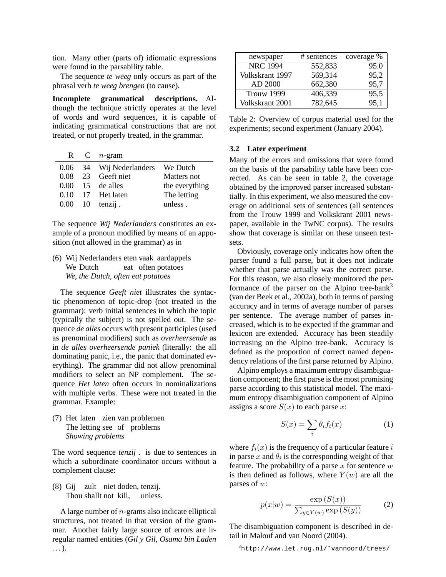tion. Many other (parts of) idiomatic expressions were found in the parsability table.

The sequence *te weeg* only occurs as part of the phrasal verb *te weeg brengen* (to cause).

**Incomplete grammatical descriptions.** Although the technique strictly operates at the level of words and word sequences, it is capable of indicating grammatical constructions that are not treated, or not properly treated, in the grammar.

|                 | R C $n$ -gram                     |                |
|-----------------|-----------------------------------|----------------|
|                 | 0.06 34 Wij Nederlanders We Dutch |                |
|                 | $0.08$ 23 Geeft niet              | Matters not    |
|                 | $0.00 \quad 15$ de alles          | the everything |
|                 | $0.10$ 17 Het laten               | The letting    |
| $0.00 \quad 10$ | tenzij.                           | unless.        |

The sequence *Wij Nederlanders* constitutes an example of a pronoun modified by means of an apposition (not allowed in the grammar) as in

(6) Wij Nederlanders eten vaak aardappels We Dutch eat often potatoes *We, the Dutch, often eat potatoes*

The sequence *Geeft niet* illustrates the syntactic phenomenon of topic-drop (not treated in the grammar): verb initial sentences in which the topic (typically the subject) is not spelled out. The sequence *de alles* occurs with present participles (used as prenominal modifiers) such as *overheersende* as in *de alles overheersende paniek* (literally: the all dominating panic, i.e., the panic that dominated everything). The grammar did not allow prenominal modifiers to select an NP complement. The sequence *Het laten* often occurs in nominalizations with multiple verbs. These were not treated in the grammar. Example:

(7) Het laten zien van problemen The letting see of problems *Showing problems*

The word sequence *tenzij .* is due to sentences in which a subordinate coordinator occurs without a complement clause:

(8) Gij zult niet doden, tenzij. Thou shallt not kill, unless.

A large number of  $n$ -grams also indicate elliptical structures, not treated in that version of the grammar. Another fairly large source of errors are irregular named entities (*Gil y Gil, Osama bin Laden . . .*).

| newspaper       | # sentences | coverage % |
|-----------------|-------------|------------|
| <b>NRC</b> 1994 | 552,833     | 95.0       |
| Volkskrant 1997 | 569,314     | 95,2       |
| AD 2000         | 662,380     | 95,7       |
| Trouw 1999      | 406,339     | 95,5       |
| Volkskrant 2001 | 782,645     | 95,1       |

| Table 2: Overview of corpus material used for the |  |  |  |
|---------------------------------------------------|--|--|--|
| experiments; second experiment (January 2004).    |  |  |  |

### **3.2 Later experiment**

Many of the errors and omissions that were found on the basis of the parsability table have been corrected. As can be seen in table 2, the coverage obtained by the improved parser increased substantially. In this experiment, we also measured the coverage on additional sets of sentences (all sentences from the Trouw 1999 and Volkskrant 2001 newspaper, available in the TwNC corpus). The results show that coverage is similar on these unseen testsets.

Obviously, coverage only indicates how often the parser found a full parse, but it does not indicate whether that parse actually was the correct parse. For this reason, we also closely monitored the performance of the parser on the Alpino tree-bank<sup>3</sup> (van der Beek et al., 2002a), both in terms of parsing accuracy and in terms of average number of parses per sentence. The average number of parses increased, which is to be expected if the grammar and lexicon are extended. Accuracy has been steadily increasing on the Alpino tree-bank. Accuracy is defined as the proportion of correct named dependency relations of the first parse returned by Alpino.

Alpino employs a maximum entropy disambiguation component; the first parse is the most promising parse according to this statistical model. The maximum entropy disambiguation component of Alpino assigns a score  $S(x)$  to each parse x:

$$
S(x) = \sum_{i} \theta_i f_i(x) \tag{1}
$$

where  $f_i(x)$  is the frequency of a particular feature i in parse x and  $\theta_i$  is the corresponding weight of that feature. The probability of a parse  $x$  for sentence  $w$ is then defined as follows, where  $Y(w)$  are all the parses of w:

$$
p(x|w) = \frac{\exp(S(x))}{\sum_{y \in Y(w)} \exp(S(y))}
$$
 (2)

The disambiguation component is described in detail in Malouf and van Noord (2004).

<sup>3</sup>http://www.let.rug.nl/˜vannoord/trees/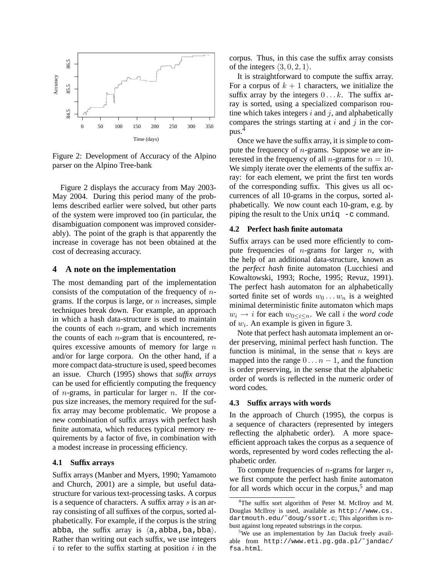

Figure 2: Development of Accuracy of the Alpino parser on the Alpino Tree-bank

Figure 2 displays the accuracy from May 2003- May 2004. During this period many of the problems described earlier were solved, but other parts of the system were improved too (in particular, the disambiguation component was improved considerably). The point of the graph is that apparently the increase in coverage has not been obtained at the cost of decreasing accuracy.

#### **4 A note on the implementation**

The most demanding part of the implementation consists of the computation of the frequency of  $n$ grams. If the corpus is large, or  $n$  increases, simple techniques break down. For example, an approach in which a hash data-structure is used to maintain the counts of each  $n$ -gram, and which increments the counts of each  $n$ -gram that is encountered, requires excessive amounts of memory for large  $n$ and/or for large corpora. On the other hand, if a more compact data-structure is used, speed becomes an issue. Church (1995) shows that *suffix arrays* can be used for efficiently computing the frequency of *n*-grams, in particular for larger *n*. If the corpus size increases, the memory required for the suffix array may become problematic. We propose a new combination of suffix arrays with perfect hash finite automata, which reduces typical memory requirements by a factor of five, in combination with a modest increase in processing efficiency.

#### **4.1 Suffix arrays**

Suffix arrays (Manber and Myers, 1990; Yamamoto and Church, 2001) are a simple, but useful datastructure for various text-processing tasks. A corpus is a sequence of characters. A suffix array  $s$  is an array consisting of all suffixes of the corpus, sorted alphabetically. For example, if the corpus is the string abba, the suffix array is  $\langle a, abba, ba, bba \rangle$ . Rather than writing out each suffix, we use integers  $i$  to refer to the suffix starting at position  $i$  in the corpus. Thus, in this case the suffix array consists of the integers  $\langle 3, 0, 2, 1 \rangle$ .

It is straightforward to compute the suffix array. For a corpus of  $k + 1$  characters, we initialize the suffix array by the integers  $0 \ldots k$ . The suffix array is sorted, using a specialized comparison routine which takes integers  $i$  and  $j$ , and alphabetically compares the strings starting at  $i$  and  $j$  in the corpus.<sup>4</sup>

Once we have the suffix array, it is simple to compute the frequency of  $n$ -grams. Suppose we are interested in the frequency of all *n*-grams for  $n = 10$ . We simply iterate over the elements of the suffix array: for each element, we print the first ten words of the corresponding suffix. This gives us all occurrences of all 10-grams in the corpus, sorted alphabetically. We now count each 10-gram, e.g. by piping the result to the Unix uniq  $-c$  command.

### **4.2 Perfect hash finite automata**

Suffix arrays can be used more efficiently to compute frequencies of  $n$ -grams for larger  $n$ , with the help of an additional data-structure, known as the *perfect hash* finite automaton (Lucchiesi and Kowaltowski, 1993; Roche, 1995; Revuz, 1991). The perfect hash automaton for an alphabetically sorted finite set of words  $w_0 \ldots w_n$  is a weighted minimal deterministic finite automaton which maps  $w_i \rightarrow i$  for each  $w_{0 \leq i \leq n}$ . We call i the *word code* of  $w_i$ . An example is given in figure 3.

Note that perfect hash automata implement an order preserving, minimal perfect hash function. The function is minimal, in the sense that  $n$  keys are mapped into the range  $0 \ldots n-1$ , and the function is order preserving, in the sense that the alphabetic order of words is reflected in the numeric order of word codes.

#### **4.3 Suffix arrays with words**

In the approach of Church (1995), the corpus is a sequence of characters (represented by integers reflecting the alphabetic order). A more spaceefficient approach takes the corpus as a sequence of words, represented by word codes reflecting the alphabetic order.

To compute frequencies of  $n$ -grams for larger  $n$ , we first compute the perfect hash finite automaton for all words which occur in the corpus,<sup>5</sup> and map

<sup>4</sup>The suffix sort algorithm of Peter M. McIlroy and M. Douglas McIlroy is used, available as http://www.cs. dartmouth.edu/˜doug/ssort.c; This algorithm is robust against long repeated substrings in the corpus.

<sup>&</sup>lt;sup>5</sup>We use an implementation by Jan Daciuk freely available from http://www.eti.pg.gda.pl/˜jandac/ fsa.html.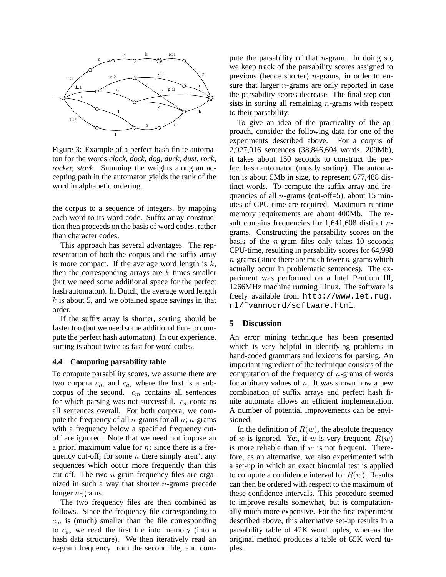

Figure 3: Example of a perfect hash finite automaton for the words *clock, dock, dog, duck, dust, rock, rocker, stock*. Summing the weights along an accepting path in the automaton yields the rank of the word in alphabetic ordering.

the corpus to a sequence of integers, by mapping each word to its word code. Suffix array construction then proceeds on the basis of word codes, rather than character codes.

This approach has several advantages. The representation of both the corpus and the suffix array is more compact. If the average word length is  $k$ , then the corresponding arrays are  $k$  times smaller (but we need some additional space for the perfect hash automaton). In Dutch, the average word length  $k$  is about 5, and we obtained space savings in that order.

If the suffix array is shorter, sorting should be faster too (but we need some additional time to compute the perfect hash automaton). In our experience, sorting is about twice as fast for word codes.

### **4.4 Computing parsability table**

To compute parsability scores, we assume there are two corpora  $c_m$  and  $c_a$ , where the first is a subcorpus of the second.  $c_m$  contains all sentences for which parsing was not successful.  $c_a$  contains all sentences overall. For both corpora, we compute the frequency of all  $n$ -grams for all  $n$ ;  $n$ -grams with a frequency below a specified frequency cutoff are ignored. Note that we need not impose an a priori maximum value for  $n$ ; since there is a frequency cut-off, for some  $n$  there simply aren't any sequences which occur more frequently than this cut-off. The two  $n$ -gram frequency files are organized in such a way that shorter  $n$ -grams precede longer n-grams.

The two frequency files are then combined as follows. Since the frequency file corresponding to  $c<sub>m</sub>$  is (much) smaller than the file corresponding to  $c_a$ , we read the first file into memory (into a hash data structure). We then iteratively read an n-gram frequency from the second file, and compute the parsability of that  $n$ -gram. In doing so, we keep track of the parsability scores assigned to previous (hence shorter)  $n$ -grams, in order to ensure that larger *n*-grams are only reported in case the parsability scores decrease. The final step consists in sorting all remaining  $n$ -grams with respect to their parsability.

To give an idea of the practicality of the approach, consider the following data for one of the experiments described above. For a corpus of 2,927,016 sentences (38,846,604 words, 209Mb), it takes about 150 seconds to construct the perfect hash automaton (mostly sorting). The automaton is about 5Mb in size, to represent 677,488 distinct words. To compute the suffix array and frequencies of all *n*-grams (cut-off=5), about 15 minutes of CPU-time are required. Maximum runtime memory requirements are about 400Mb. The result contains frequencies for  $1,641,608$  distinct ngrams. Constructing the parsability scores on the basis of the  $n$ -gram files only takes 10 seconds CPU-time, resulting in parsability scores for 64,998  $n$ -grams (since there are much fewer  $n$ -grams which actually occur in problematic sentences). The experiment was performed on a Intel Pentium III, 1266MHz machine running Linux. The software is freely available from http://www.let.rug. nl/˜vannoord/software.html.

#### **5 Discussion**

An error mining technique has been presented which is very helpful in identifying problems in hand-coded grammars and lexicons for parsing. An important ingredient of the technique consists of the computation of the frequency of  $n$ -grams of words for arbitrary values of  $n$ . It was shown how a new combination of suffix arrays and perfect hash finite automata allows an efficient implementation. A number of potential improvements can be envisioned.

In the definition of  $R(w)$ , the absolute frequency of w is ignored. Yet, if w is very frequent,  $R(w)$ is more reliable than if  $w$  is not frequent. Therefore, as an alternative, we also experimented with a set-up in which an exact binomial test is applied to compute a confidence interval for  $R(w)$ . Results can then be ordered with respect to the maximum of these confidence intervals. This procedure seemed to improve results somewhat, but is computationally much more expensive. For the first experiment described above, this alternative set-up results in a parsability table of 42K word tuples, whereas the original method produces a table of 65K word tuples.